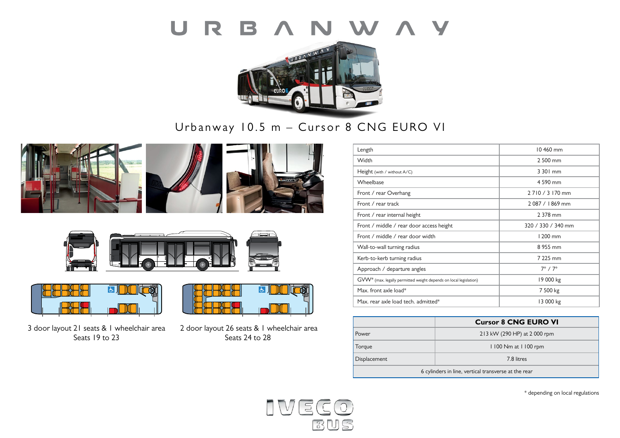### R B A N W A Y  $\overline{\mathsf{U}}$



# Urbanway 10.5 m – Cursor 8 CNG EURO VI











3 door layout 21 seats & 1 wheelchair area Seats 19 to 23



 2 door layout 26 seats & 1 wheelchair area Seats 24 to 28

| Length                                                            | 10460 mm            |  |
|-------------------------------------------------------------------|---------------------|--|
| Width                                                             | 2 500 mm            |  |
| Height (with / without A/C)                                       | 3 301 mm            |  |
| Wheelbase                                                         | 4 590 mm            |  |
| Front / rear Overhang                                             | 2 7 10 / 3 170 mm   |  |
| Front / rear track                                                | 2087 / 1869 mm      |  |
| Front / rear internal height                                      | 2 378 mm            |  |
| Front / middle / rear door access height                          | 320 / 330 / 340 mm  |  |
| Front / middle / rear door width                                  | 1 200 mm            |  |
| Wall-to-wall turning radius                                       | 8 955 mm            |  |
| Kerb-to-kerb turning radius                                       | 7 225 mm            |  |
| Approach / departure angles                                       | $7^\circ / 7^\circ$ |  |
| GVW* (max. legally permitted weight depends on local legislation) | 19 000 kg           |  |
| Max. front axle load*                                             | 7 500 kg            |  |
| Max. rear axle load tech. admitted*                               | 13 000 kg           |  |

|                                                      | <b>Cursor 8 CNG EURO VI</b>  |  |
|------------------------------------------------------|------------------------------|--|
| Power                                                | 213 kW (290 HP) at 2 000 rpm |  |
| Torque                                               | 1100 Nm at 1100 rpm          |  |
| Displacement                                         | 7.8 litres                   |  |
| 6 cylinders in line, vertical transverse at the rear |                              |  |

\* depending on local regulations